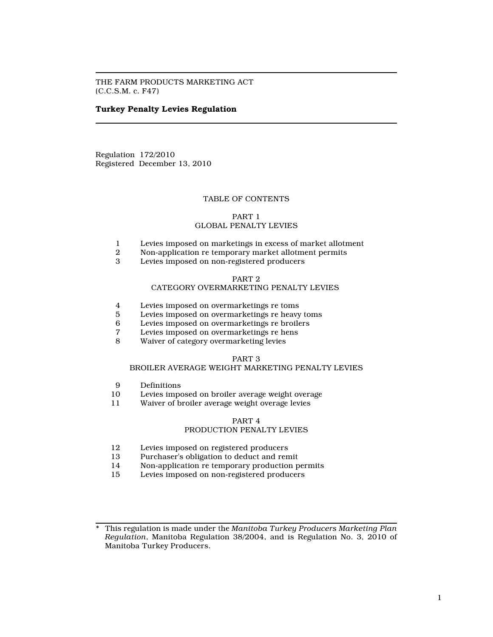THE FARM PRODUCTS MARKETING ACT (C.C.S.M. c. F47)

# Turkey Penalty Levies Regulation

Regulation 172/2010 Registered December 13, 2010

# TABLE OF CONTENTS

PART 1

# GLOBAL PENALTY LEVIES

- 1 Levies imposed on marketings in excess of market allotment
- Non-application re temporary market allotment permits
- 3 Levies imposed on non-registered producers

# PART 2

# CATEGORY OVERMARKETING PENALTY LEVIES

- 4 Levies imposed on overmarketings re toms
- 5 Levies imposed on overmarketings re heavy toms<br>6 Levies imposed on overmarketings re broilers
- 6 Levies imposed on overmarketings re broilers
- 7 Levies imposed on overmarketings re hens<br>8 Waiver of category overmarketing levies
- Waiver of category overmarketing levies

# PART 3

# BROILER AVERAGE WEIGHT MARKETING PENALTY LEVIES

- 9 Definitions<br>10 Levies impo
- 10 Levies imposed on broiler average weight overage<br>11 Waiver of broiler average weight overage levies
- Waiver of broiler average weight overage levies

# PART 4

# PRODUCTION PENALTY LEVIES

- 12 Levies imposed on registered producers<br>13 Purchaser's obligation to deduct and ren
- 13 Purchaser's obligation to deduct and remit<br>14 Non-application re temporary production p
- 14 Non-application re temporary production permits<br>15 Levies imposed on non-registered producers
- Levies imposed on non-registered producers

This regulation is made under the Manitoba Turkey Producers Marketing Plan Regulation, Manitoba Regulation 38/2004, and is Regulation No. 3, 2010 of Manitoba Turkey Producers.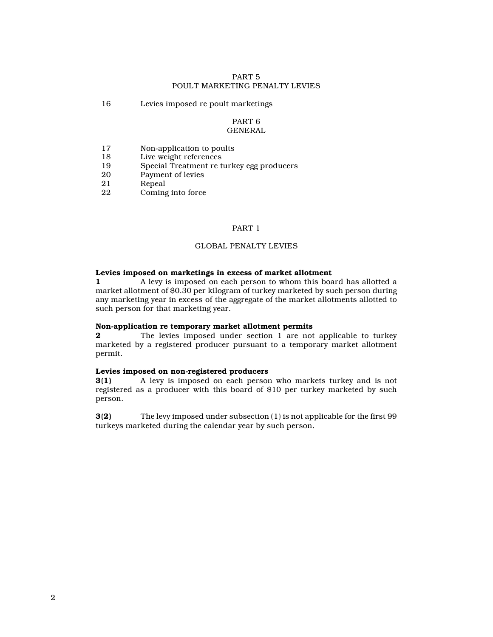# PART 5 POULT MARKETING PENALTY LEVIES

16 Levies imposed re poult marketings

# PART 6

# GENERAL

- 17 Non-application to poults
- 18 Live weight references
- 19 Special Treatment re turkey egg producers<br>20 Payment of levies
- 20 Payment of levies<br>21 Repeal
- 21 Repeal<br>22 Coming
- Coming into force

# PART 1

# GLOBAL PENALTY LEVIES

# Levies imposed on marketings in excess of market allotment

1 A levy is imposed on each person to whom this board has allotted a market allotment of \$0.30 per kilogram of turkey marketed by such person during any marketing year in excess of the aggregate of the market allotments allotted to such person for that marketing year.

#### Non-application re temporary market allotment permits

**2** The levies imposed under section 1 are not applicable to turkey marketed by a registered producer pursuant to a temporary market allotment permit.

# Levies imposed on non-registered producers

3(1) A levy is imposed on each person who markets turkey and is not registered as a producer with this board of \$10 per turkey marketed by such person.

3(2) The levy imposed under subsection (1) is not applicable for the first 99 turkeys marketed during the calendar year by such person.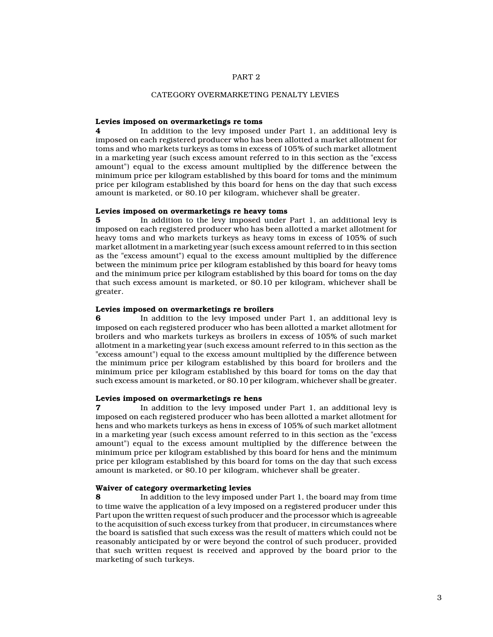## PART 2

# CATEGORY OVERMARKETING PENALTY LEVIES

## Levies imposed on overmarketings re toms

4 In addition to the levy imposed under Part 1, an additional levy is imposed on each registered producer who has been allotted a market allotment for toms and who markets turkeys as toms in excess of 105% of such market allotment in a marketing year (such excess amount referred to in this section as the "excess amount") equal to the excess amount multiplied by the difference between the minimum price per kilogram established by this board for toms and the minimum price per kilogram established by this board for hens on the day that such excess amount is marketed, or \$0.10 per kilogram, whichever shall be greater.

#### Levies imposed on overmarketings re heavy toms

5 In addition to the levy imposed under Part 1, an additional levy is imposed on each registered producer who has been allotted a market allotment for heavy toms and who markets turkeys as heavy toms in excess of 105% of such market allotment in a marketing year (such excess amount referred to in this section as the "excess amount") equal to the excess amount multiplied by the difference between the minimum price per kilogram established by this board for heavy toms and the minimum price per kilogram established by this board for toms on the day that such excess amount is marketed, or \$0.10 per kilogram, whichever shall be greater.

# Levies imposed on overmarketings re broilers

6 In addition to the levy imposed under Part 1, an additional levy is imposed on each registered producer who has been allotted a market allotment for broilers and who markets turkeys as broilers in excess of 105% of such market allotment in a marketing year (such excess amount referred to in this section as the "excess amount") equal to the excess amount multiplied by the difference between the minimum price per kilogram established by this board for broilers and the minimum price per kilogram established by this board for toms on the day that such excess amount is marketed, or \$0.10 per kilogram, whichever shall be greater.

#### Levies imposed on overmarketings re hens

In addition to the levy imposed under Part 1, an additional levy is imposed on each registered producer who has been allotted a market allotment for hens and who markets turkeys as hens in excess of 105% of such market allotment in a marketing year (such excess amount referred to in this section as the "excess amount") equal to the excess amount multiplied by the difference between the minimum price per kilogram established by this board for hens and the minimum price per kilogram established by this board for toms on the day that such excess amount is marketed, or \$0.10 per kilogram, whichever shall be greater.

#### Waiver of category overmarketing levies

8 In addition to the levy imposed under Part 1, the board may from time to time waive the application of a levy imposed on a registered producer under this Part upon the written request of such producer and the processor which is agreeable to the acquisition of such excess turkey from that producer, in circumstances where the board is satisfied that such excess was the result of matters which could not be reasonably anticipated by or were beyond the control of such producer, provided that such written request is received and approved by the board prior to the marketing of such turkeys.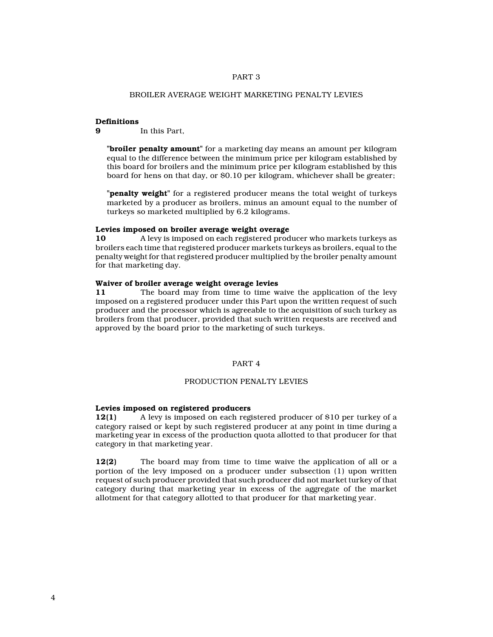# PART 3

# BROILER AVERAGE WEIGHT MARKETING PENALTY LEVIES

#### **Definitions**

9 In this Part,

"**broiler penalty amount**" for a marketing day means an amount per kilogram equal to the difference between the minimum price per kilogram established by this board for broilers and the minimum price per kilogram established by this board for hens on that day, or \$0.10 per kilogram, whichever shall be greater;

"**penalty weight**" for a registered producer means the total weight of turkeys marketed by a producer as broilers, minus an amount equal to the number of turkeys so marketed multiplied by 6.2 kilograms.

# Levies imposed on broiler average weight overage

10 A levy is imposed on each registered producer who markets turkeys as broilers each time that registered producer markets turkeys as broilers, equal to the penalty weight for that registered producer multiplied by the broiler penalty amount for that marketing day.

# Waiver of broiler average weight overage levies

11 The board may from time to time waive the application of the levy imposed on a registered producer under this Part upon the written request of such producer and the processor which is agreeable to the acquisition of such turkey as broilers from that producer, provided that such written requests are received and approved by the board prior to the marketing of such turkeys.

# PART 4

# PRODUCTION PENALTY LEVIES

# Levies imposed on registered producers

12(1) A levy is imposed on each registered producer of \$10 per turkey of a category raised or kept by such registered producer at any point in time during a marketing year in excess of the production quota allotted to that producer for that category in that marketing year.

12(2) The board may from time to time waive the application of all or a portion of the levy imposed on a producer under subsection (1) upon written request of such producer provided that such producer did not market turkey of that category during that marketing year in excess of the aggregate of the market allotment for that category allotted to that producer for that marketing year.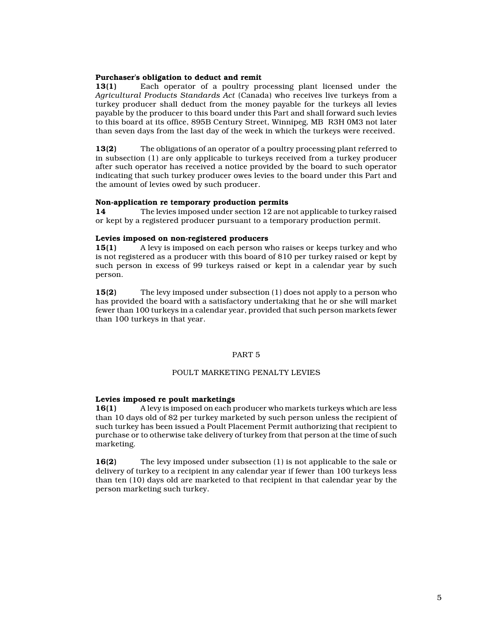# Purchaser's obligation to deduct and remit

13(1) Each operator of a poultry processing plant licensed under the Agricultural Products Standards Act (Canada) who receives live turkeys from a turkey producer shall deduct from the money payable for the turkeys all levies payable by the producer to this board under this Part and shall forward such levies to this board at its office, 895B Century Street, Winnipeg, MB R3H 0M3 not later than seven days from the last day of the week in which the turkeys were received.

13(2) The obligations of an operator of a poultry processing plant referred to in subsection (1) are only applicable to turkeys received from a turkey producer after such operator has received a notice provided by the board to such operator indicating that such turkey producer owes levies to the board under this Part and the amount of levies owed by such producer.

#### Non-application re temporary production permits

14 The levies imposed under section 12 are not applicable to turkey raised or kept by a registered producer pursuant to a temporary production permit.

# Levies imposed on non-registered producers

15(1) A levy is imposed on each person who raises or keeps turkey and who is not registered as a producer with this board of \$10 per turkey raised or kept by such person in excess of 99 turkeys raised or kept in a calendar year by such person.

15(2) The levy imposed under subsection (1) does not apply to a person who has provided the board with a satisfactory undertaking that he or she will market fewer than 100 turkeys in a calendar year, provided that such person markets fewer than 100 turkeys in that year.

# PART 5

# POULT MARKETING PENALTY LEVIES

#### Levies imposed re poult marketings

16(1) A levy is imposed on each producer who markets turkeys which are less than 10 days old of \$2 per turkey marketed by such person unless the recipient of such turkey has been issued a Poult Placement Permit authorizing that recipient to purchase or to otherwise take delivery of turkey from that person at the time of such marketing.

16(2) The levy imposed under subsection (1) is not applicable to the sale or delivery of turkey to a recipient in any calendar year if fewer than 100 turkeys less than ten (10) days old are marketed to that recipient in that calendar year by the person marketing such turkey.